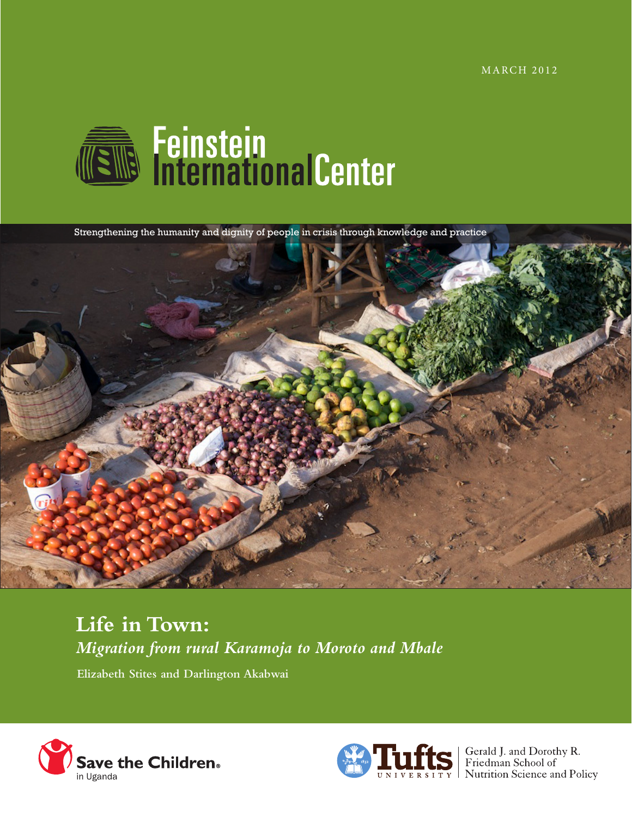**MARCH 2012** 



Strengthening the humanity and dignity of people in crisis through knowledge and practice



# **Life in Town:**  *Migration from rural Karamoja to Moroto and Mbale*

**Elizabeth Stites and Darlington Akabwai**





**S** Gerald J. and Dorothy R.<br>Friedman School of UNIVERSITY | Nutrition Science and Policy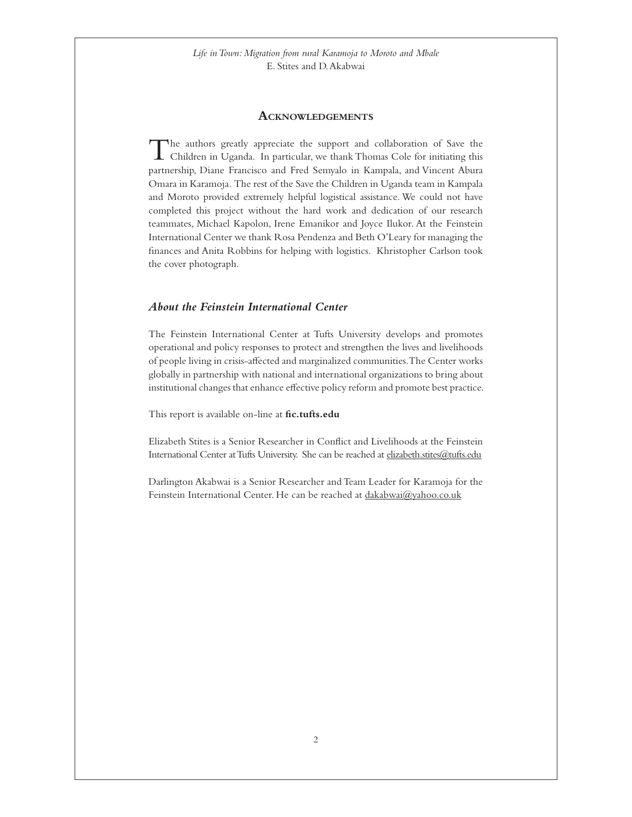#### **Acknowledgements**

<span id="page-1-0"></span>The authors greatly appreciate the support and collaboration of Save the Children in Uganda. In particular, we thank Thomas Cole for initiating this partnership, Diane Francisco and Fred Semyalo in Kampala, and Vincent Abura Omara in Karamoja. The rest of the Save the Children in Uganda team in Kampala and Moroto provided extremely helpful logistical assistance. We could not have completed this project without the hard work and dedication of our research teammates, Michael Kapolon, Irene Emanikor and Joyce Ilukor. At the Feinstein International Center we thank Rosa Pendenza and Beth O'Leary for managing the finances and Anita Robbins for helping with logistics. Khristopher Carlson took the cover photograph.

# *About the Feinstein International Center*

The Feinstein International Center at Tufts University develops and promotes operational and policy responses to protect and strengthen the lives and livelihoods of people living in crisis-affected and marginalized communities. The Center works globally in partnership with national and international organizations to bring about institutional changes that enhance effective policy reform and promote best practice.

This report is available on-line at **[fic.tufts.edu](http://sites.tufts.edu/feinstein/)**

Elizabeth Stites is a Senior Researcher in Conflict and Livelihoods at the Feinstein International Center at Tufts University. She can be reached a[t elizabeth.stites@tufts.edu](mailto:elizabeth.stites@tufts.edu)

Darlington Akabwai is a Senior Researcher and Team Leader for Karamoja for the Feinstein International Center. He can be reached at [dakabwai@yahoo.co.uk](mailto:dakabwai@yahoo.co.uk)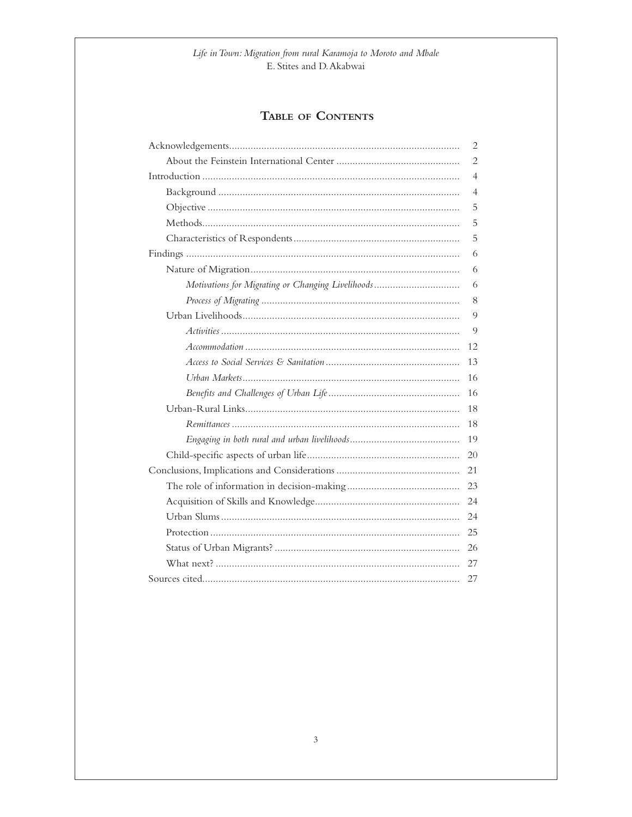# TABLE OF CONTENTS

|                                                   | 2  |
|---------------------------------------------------|----|
|                                                   | 2  |
|                                                   | 4  |
|                                                   | 4  |
|                                                   | 5  |
|                                                   | 5  |
|                                                   | 5  |
|                                                   | 6  |
|                                                   | 6  |
| Motivations for Migrating or Changing Livelihoods | 6  |
|                                                   | 8  |
|                                                   | 9  |
|                                                   | 9  |
|                                                   | 12 |
|                                                   | 13 |
|                                                   | 16 |
|                                                   | 16 |
|                                                   | 18 |
|                                                   | 18 |
|                                                   | 19 |
|                                                   | 20 |
|                                                   | 21 |
|                                                   | 23 |
|                                                   |    |
|                                                   |    |
|                                                   |    |
|                                                   |    |
|                                                   | 27 |
|                                                   | 27 |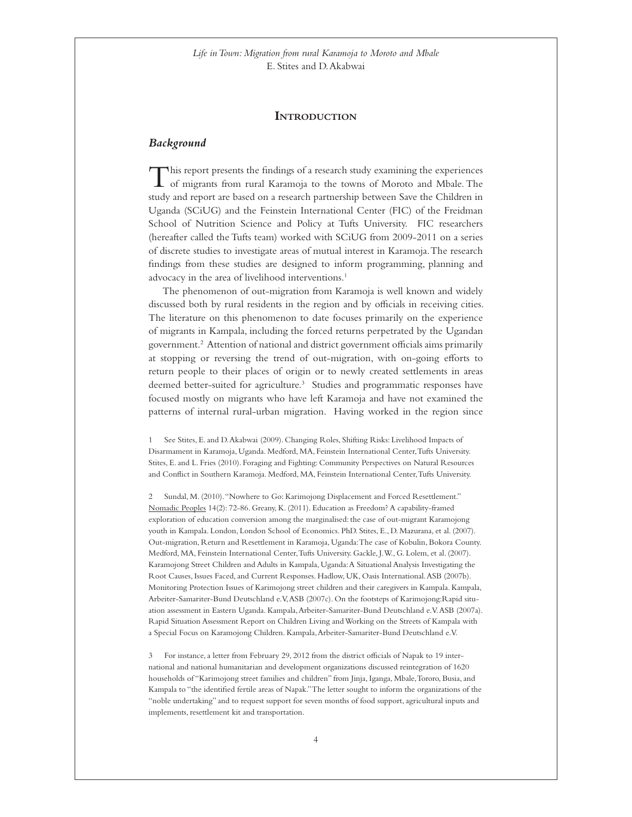#### **Introduction**

#### <span id="page-3-0"></span>*Background*

This report presents the findings of a research study examining the experiences of migrants from rural Karamoja to the towns of Moroto and Mbale. The study and report are based on a research partnership between Save the Children in Uganda (SCiUG) and the Feinstein International Center (FIC) of the Freidman School of Nutrition Science and Policy at Tufts University. FIC researchers (hereafter called the Tufts team) worked with SCiUG from 2009-2011 on a series of discrete studies to investigate areas of mutual interest in Karamoja. The research findings from these studies are designed to inform programming, planning and advocacy in the area of livelihood interventions.<sup>1</sup>

The phenomenon of out-migration from Karamoja is well known and widely discussed both by rural residents in the region and by officials in receiving cities. The literature on this phenomenon to date focuses primarily on the experience of migrants in Kampala, including the forced returns perpetrated by the Ugandan government.2 Attention of national and district government officials aims primarily at stopping or reversing the trend of out-migration, with on-going efforts to return people to their places of origin or to newly created settlements in areas deemed better-suited for agriculture.3 Studies and programmatic responses have focused mostly on migrants who have left Karamoja and have not examined the patterns of internal rural-urban migration. Having worked in the region since

1 See Stites, E. and D. Akabwai (2009). Changing Roles, Shifting Risks: Livelihood Impacts of Disarmament in Karamoja, Uganda. Medford, MA, Feinstein International Center, Tufts University. Stites, E. and L. Fries (2010). Foraging and Fighting: Community Perspectives on Natural Resources and Conflict in Southern Karamoja. Medford, MA, Feinstein International Center, Tufts University.

2 Sundal, M. (2010). "Nowhere to Go: Karimojong Displacement and Forced Resettlement." Nomadic Peoples 14(2): 72-86. Greany, K. (2011). Education as Freedom? A capability-framed exploration of education conversion among the marginalised: the case of out-migrant Karamojong youth in Kampala. London, London School of Economics. PhD. Stites, E., D. Mazurana, et al. (2007). Out-migration, Return and Resettlement in Karamoja, Uganda: The case of Kobulin, Bokora County. Medford, MA, Feinstein International Center, Tufts University. Gackle, J. W., G. Lolem, et al. (2007). Karamojong Street Children and Adults in Kampala, Uganda: A Situational Analysis Investigating the Root Causes, Issues Faced, and Current Responses. Hadlow, UK, Oasis International. ASB (2007b). Monitoring Protection Issues of Karimojong street children and their caregivers in Kampala. Kampala, Arbeiter-Samariter-Bund Deutschland e.V, ASB (2007c). On the footsteps of Karimojong:Rapid situation assessment in Eastern Uganda. Kampala, Arbeiter-Samariter-Bund Deutschland e.V. ASB (2007a). Rapid Situation Assessment Report on Children Living and Working on the Streets of Kampala with a Special Focus on Karamojong Children. Kampala, Arbeiter-Samariter-Bund Deutschland e.V.

3 For instance, a letter from February 29, 2012 from the district officials of Napak to 19 international and national humanitarian and development organizations discussed reintegration of 1620 households of "Karimojong street families and children" from Jinja, Iganga, Mbale, Tororo, Busia, and Kampala to "the identified fertile areas of Napak." The letter sought to inform the organizations of the "noble undertaking" and to request support for seven months of food support, agricultural inputs and implements, resettlement kit and transportation.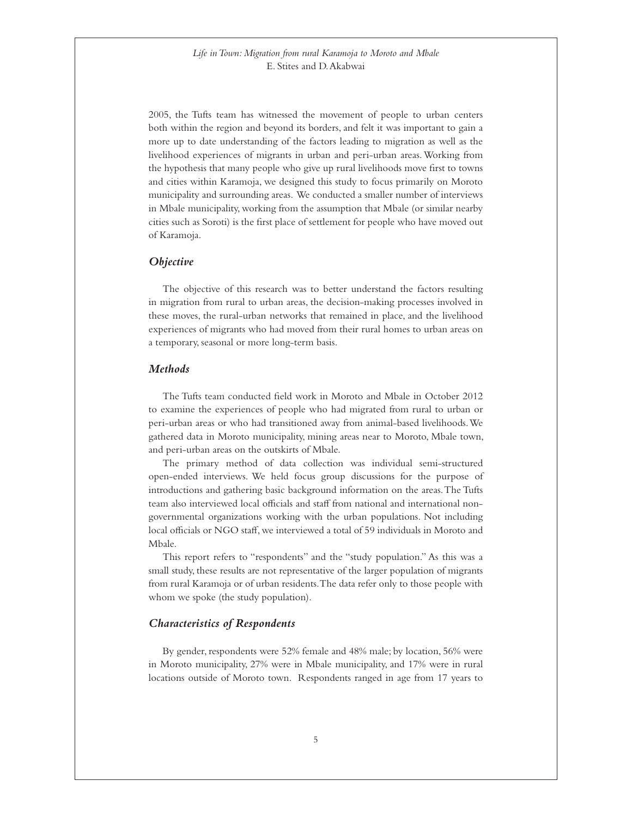<span id="page-4-0"></span>2005, the Tufts team has witnessed the movement of people to urban centers both within the region and beyond its borders, and felt it was important to gain a more up to date understanding of the factors leading to migration as well as the livelihood experiences of migrants in urban and peri-urban areas. Working from the hypothesis that many people who give up rural livelihoods move first to towns and cities within Karamoja, we designed this study to focus primarily on Moroto municipality and surrounding areas. We conducted a smaller number of interviews in Mbale municipality, working from the assumption that Mbale (or similar nearby cities such as Soroti) is the first place of settlement for people who have moved out of Karamoja.

#### *Objective*

The objective of this research was to better understand the factors resulting in migration from rural to urban areas, the decision-making processes involved in these moves, the rural-urban networks that remained in place, and the livelihood experiences of migrants who had moved from their rural homes to urban areas on a temporary, seasonal or more long-term basis.

#### *Methods*

The Tufts team conducted field work in Moroto and Mbale in October 2012 to examine the experiences of people who had migrated from rural to urban or peri-urban areas or who had transitioned away from animal-based livelihoods. We gathered data in Moroto municipality, mining areas near to Moroto, Mbale town, and peri-urban areas on the outskirts of Mbale.

The primary method of data collection was individual semi-structured open-ended interviews. We held focus group discussions for the purpose of introductions and gathering basic background information on the areas. The Tufts team also interviewed local officials and staff from national and international nongovernmental organizations working with the urban populations. Not including local officials or NGO staff, we interviewed a total of 59 individuals in Moroto and Mbale.

This report refers to "respondents" and the "study population." As this was a small study, these results are not representative of the larger population of migrants from rural Karamoja or of urban residents. The data refer only to those people with whom we spoke (the study population).

### *Characteristics of Respondents*

By gender, respondents were 52% female and 48% male; by location, 56% were in Moroto municipality, 27% were in Mbale municipality, and 17% were in rural locations outside of Moroto town. Respondents ranged in age from 17 years to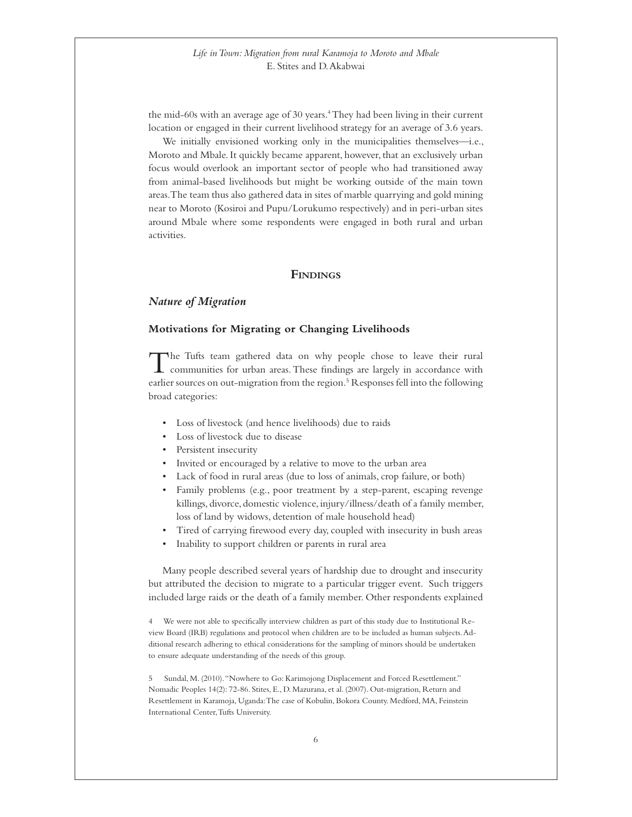<span id="page-5-0"></span>the mid-60s with an average age of 30 years.<sup>4</sup> They had been living in their current location or engaged in their current livelihood strategy for an average of 3.6 years.

We initially envisioned working only in the municipalities themselves—i.e., Moroto and Mbale. It quickly became apparent, however, that an exclusively urban focus would overlook an important sector of people who had transitioned away from animal-based livelihoods but might be working outside of the main town areas. The team thus also gathered data in sites of marble quarrying and gold mining near to Moroto (Kosiroi and Pupu/Lorukumo respectively) and in peri-urban sites around Mbale where some respondents were engaged in both rural and urban activities.

#### **Findings**

#### *Nature of Migration*

#### **Motivations for Migrating or Changing Livelihoods**

The Tufts team gathered data on why people chose to leave their rural communities for urban areas. These findings are largely in accordance with earlier sources on out-migration from the region.<sup>5</sup> Responses fell into the following broad categories:

- • Loss of livestock (and hence livelihoods) due to raids
- • Loss of livestock due to disease
- Persistent insecurity
- Invited or encouraged by a relative to move to the urban area
- • Lack of food in rural areas (due to loss of animals, crop failure, or both)
- Family problems (e.g., poor treatment by a step-parent, escaping revenge killings, divorce, domestic violence, injury/illness/death of a family member, loss of land by widows, detention of male household head)
- Tired of carrying firewood every day, coupled with insecurity in bush areas
- Inability to support children or parents in rural area

Many people described several years of hardship due to drought and insecurity but attributed the decision to migrate to a particular trigger event. Such triggers included large raids or the death of a family member. Other respondents explained

4 We were not able to specifically interview children as part of this study due to Institutional Review Board (IRB) regulations and protocol when children are to be included as human subjects. Additional research adhering to ethical considerations for the sampling of minors should be undertaken to ensure adequate understanding of the needs of this group.

5 Sundal, M. (2010). "Nowhere to Go: Karimojong Displacement and Forced Resettlement." Nomadic Peoples 14(2): 72-86. Stites, E., D. Mazurana, et al. (2007). Out-migration, Return and Resettlement in Karamoja, Uganda: The case of Kobulin, Bokora County. Medford, MA, Feinstein International Center, Tufts University.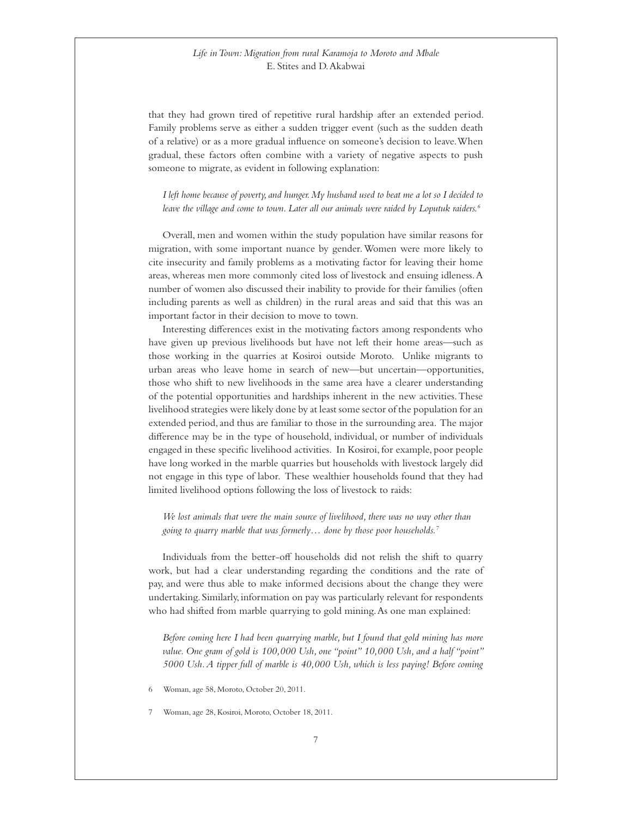that they had grown tired of repetitive rural hardship after an extended period. Family problems serve as either a sudden trigger event (such as the sudden death of a relative) or as a more gradual influence on someone's decision to leave. When gradual, these factors often combine with a variety of negative aspects to push someone to migrate, as evident in following explanation:

 *I left home because of poverty, and hunger. My husband used to beat me a lot so I decided to leave the village and come to town. Later all our animals were raided by Loputuk raiders.6*

Overall, men and women within the study population have similar reasons for migration, with some important nuance by gender. Women were more likely to cite insecurity and family problems as a motivating factor for leaving their home areas, whereas men more commonly cited loss of livestock and ensuing idleness. A number of women also discussed their inability to provide for their families (often including parents as well as children) in the rural areas and said that this was an important factor in their decision to move to town.

Interesting differences exist in the motivating factors among respondents who have given up previous livelihoods but have not left their home areas—such as those working in the quarries at Kosiroi outside Moroto. Unlike migrants to urban areas who leave home in search of new—but uncertain—opportunities, those who shift to new livelihoods in the same area have a clearer understanding of the potential opportunities and hardships inherent in the new activities. These livelihood strategies were likely done by at least some sector of the population for an extended period, and thus are familiar to those in the surrounding area. The major difference may be in the type of household, individual, or number of individuals engaged in these specific livelihood activities. In Kosiroi, for example, poor people have long worked in the marble quarries but households with livestock largely did not engage in this type of labor. These wealthier households found that they had limited livelihood options following the loss of livestock to raids:

 *We lost animals that were the main source of livelihood, there was no way other than going to quarry marble that was formerly… done by those poor households.7*

Individuals from the better-off households did not relish the shift to quarry work, but had a clear understanding regarding the conditions and the rate of pay, and were thus able to make informed decisions about the change they were undertaking. Similarly, information on pay was particularly relevant for respondents who had shifted from marble quarrying to gold mining. As one man explained:

 *Before coming here I had been quarrying marble, but I found that gold mining has more value. One gram of gold is 100,000 Ush, one "point" 10,000 Ush, and a half "point" 5000 Ush. A tipper full of marble is 40,000 Ush, which is less paying! Before coming* 

Woman, age 58, Moroto, October 20, 2011.

7 Woman, age 28, Kosiroi, Moroto, October 18, 2011.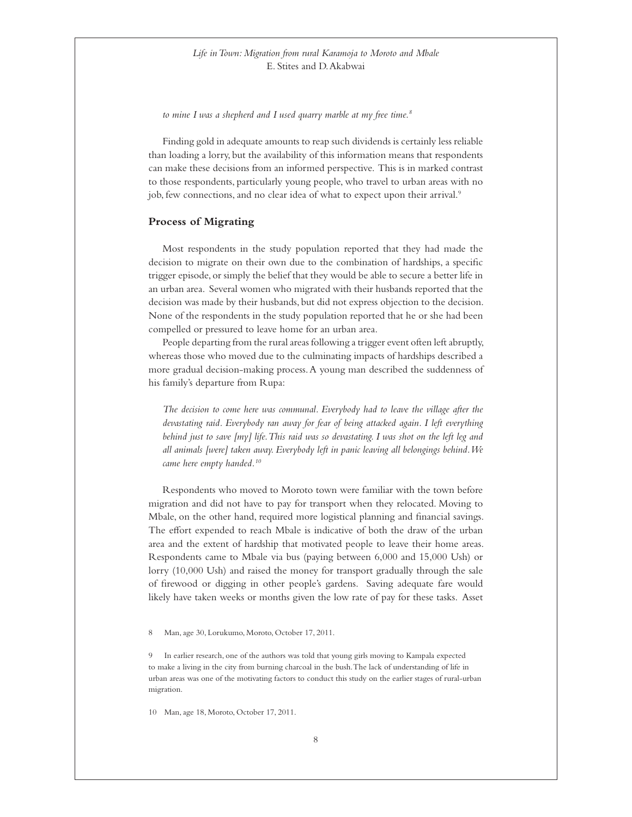<span id="page-7-0"></span>*to mine I was a shepherd and I used quarry marble at my free time.8*

Finding gold in adequate amounts to reap such dividends is certainly less reliable than loading a lorry, but the availability of this information means that respondents can make these decisions from an informed perspective. This is in marked contrast to those respondents, particularly young people, who travel to urban areas with no job, few connections, and no clear idea of what to expect upon their arrival.<sup>9</sup>

#### **Process of Migrating**

Most respondents in the study population reported that they had made the decision to migrate on their own due to the combination of hardships, a specific trigger episode, or simply the belief that they would be able to secure a better life in an urban area. Several women who migrated with their husbands reported that the decision was made by their husbands, but did not express objection to the decision. None of the respondents in the study population reported that he or she had been compelled or pressured to leave home for an urban area.

People departing from the rural areas following a trigger event often left abruptly, whereas those who moved due to the culminating impacts of hardships described a more gradual decision-making process. A young man described the suddenness of his family's departure from Rupa:

 *The decision to come here was communal. Everybody had to leave the village after the devastating raid. Everybody ran away for fear of being attacked again. I left everything behind just to save [my] life. This raid was so devastating. I was shot on the left leg and all animals [were] taken away. Everybody left in panic leaving all belongings behind. We came here empty handed.10*

Respondents who moved to Moroto town were familiar with the town before migration and did not have to pay for transport when they relocated. Moving to Mbale, on the other hand, required more logistical planning and financial savings. The effort expended to reach Mbale is indicative of both the draw of the urban area and the extent of hardship that motivated people to leave their home areas. Respondents came to Mbale via bus (paying between 6,000 and 15,000 Ush) or lorry (10,000 Ush) and raised the money for transport gradually through the sale of firewood or digging in other people's gardens. Saving adequate fare would likely have taken weeks or months given the low rate of pay for these tasks. Asset

8 Man, age 30, Lorukumo, Moroto, October 17, 2011.

9 In earlier research, one of the authors was told that young girls moving to Kampala expected to make a living in the city from burning charcoal in the bush. The lack of understanding of life in urban areas was one of the motivating factors to conduct this study on the earlier stages of rural-urban migration.

10 Man, age 18, Moroto, October 17, 2011.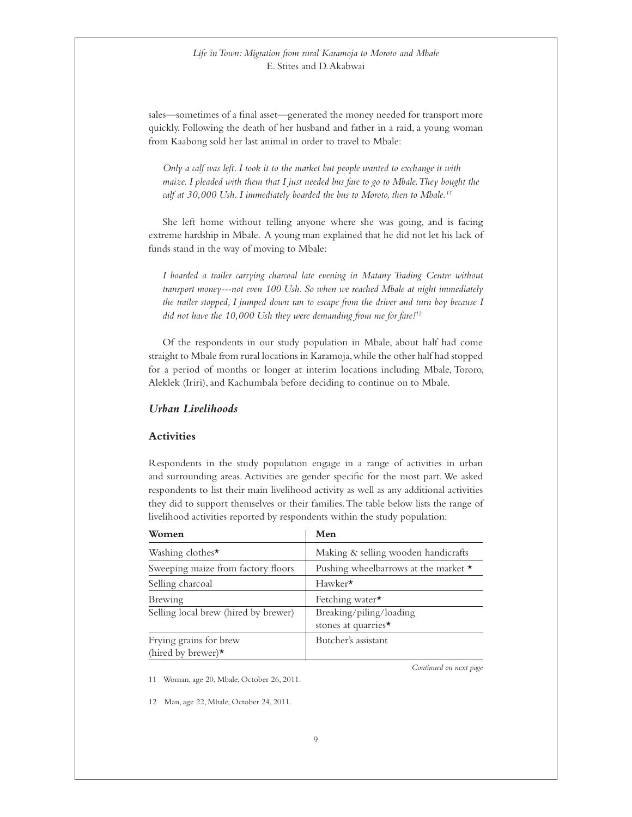<span id="page-8-0"></span>sales—sometimes of a final asset—generated the money needed for transport more quickly. Following the death of her husband and father in a raid, a young woman from Kaabong sold her last animal in order to travel to Mbale:

 *Only a calf was left. I took it to the market but people wanted to exchange it with maize. I pleaded with them that I just needed bus fare to go to Mbale. They bought the calf at 30,000 Ush. I immediately boarded the bus to Moroto, then to Mbale.11*

She left home without telling anyone where she was going, and is facing extreme hardship in Mbale. A young man explained that he did not let his lack of funds stand in the way of moving to Mbale:

 *I boarded a trailer carrying charcoal late evening in Matany Trading Centre without transport money---not even 100 Ush. So when we reached Mbale at night immediately the trailer stopped, I jumped down ran to escape from the driver and turn boy because I did not have the 10,000 Ush they were demanding from me for fare!12*

Of the respondents in our study population in Mbale, about half had come straight to Mbale from rural locations in Karamoja, while the other half had stopped for a period of months or longer at interim locations including Mbale, Tororo, Aleklek (Iriri), and Kachumbala before deciding to continue on to Mbale.

#### *Urban Livelihoods*

#### **Activities**

Respondents in the study population engage in a range of activities in urban and surrounding areas. Activities are gender specific for the most part. We asked respondents to list their main livelihood activity as well as any additional activities they did to support themselves or their families. The table below lists the range of livelihood activities reported by respondents within the study population:

| Women                                               | Men                                            |
|-----------------------------------------------------|------------------------------------------------|
| Washing clothes $\star$                             | Making & selling wooden handicrafts            |
| Sweeping maize from factory floors                  | Pushing wheelbarrows at the market $\star$     |
| Selling charcoal                                    | $Hawker\star$                                  |
| Brewing                                             | Fetching water $\star$                         |
| Selling local brew (hired by brewer)                | Breaking/piling/loading<br>stones at quarries* |
| Frying grains for brew<br>(hired by brewer) $\star$ | Butcher's assistant                            |

11 Woman, age 20, Mbale, October 26, 2011.

12 Man, age 22, Mbale, October 24, 2011.

*Continued on next page*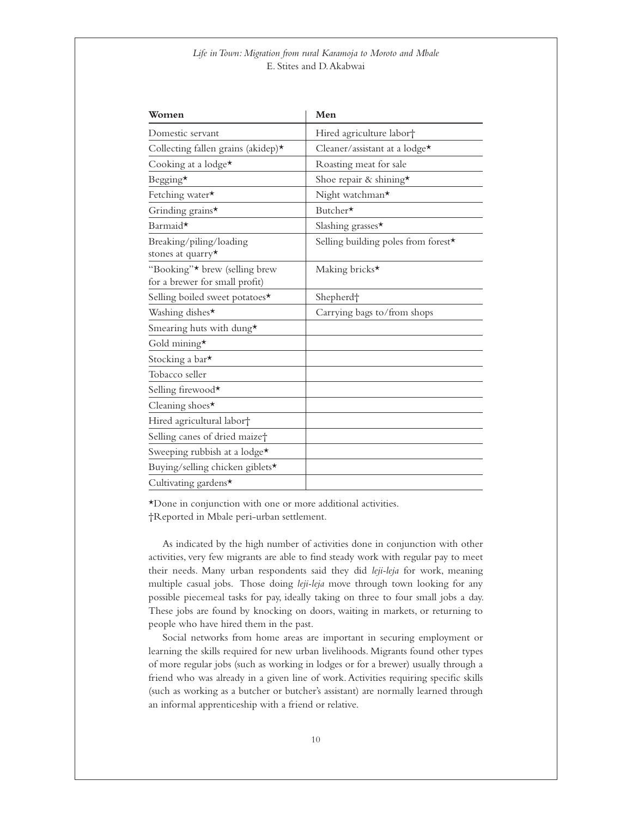| Women                                                           | Men                                  |
|-----------------------------------------------------------------|--------------------------------------|
| Domestic servant                                                | Hired agriculture labor <sup>+</sup> |
| Collecting fallen grains (akidep)*                              | Cleaner/assistant at a lodge*        |
| Cooking at a lodge*                                             | Roasting meat for sale               |
| Begging*                                                        | Shoe repair & shining*               |
| Fetching water*                                                 | Night watchman*                      |
| Grinding grains*                                                | Butcher*                             |
| Barmaid*                                                        | Slashing grasses*                    |
| Breaking/piling/loading<br>stones at quarry*                    | Selling building poles from forest*  |
| "Booking"* brew (selling brew<br>for a brewer for small profit) | Making bricks*                       |
| Selling boiled sweet potatoes*                                  | Shepherd <sup>+</sup>                |
| Washing dishes*                                                 | Carrying bags to/from shops          |
| Smearing huts with dung*                                        |                                      |
| Gold mining*                                                    |                                      |
| Stocking a bar*                                                 |                                      |
| Tobacco seller                                                  |                                      |
| Selling firewood*                                               |                                      |
| Cleaning shoes*                                                 |                                      |
| Hired agricultural labor†                                       |                                      |
| Selling canes of dried maize <sup>+</sup>                       |                                      |
| Sweeping rubbish at a lodge*                                    |                                      |
| Buying/selling chicken giblets*                                 |                                      |
| Cultivating gardens*                                            |                                      |

\*Done in conjunction with one or more additional activities. †Reported in Mbale peri-urban settlement.

As indicated by the high number of activities done in conjunction with other activities, very few migrants are able to find steady work with regular pay to meet their needs. Many urban respondents said they did *leji-leja* for work, meaning multiple casual jobs. Those doing *leji-leja* move through town looking for any possible piecemeal tasks for pay, ideally taking on three to four small jobs a day. These jobs are found by knocking on doors, waiting in markets, or returning to people who have hired them in the past.

Social networks from home areas are important in securing employment or learning the skills required for new urban livelihoods. Migrants found other types of more regular jobs (such as working in lodges or for a brewer) usually through a friend who was already in a given line of work. Activities requiring specific skills (such as working as a butcher or butcher's assistant) are normally learned through an informal apprenticeship with a friend or relative.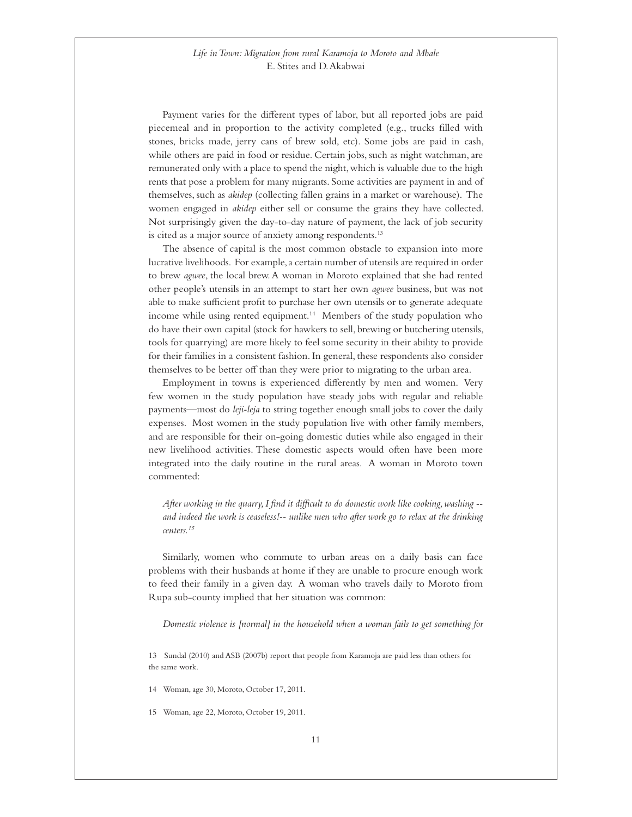Payment varies for the different types of labor, but all reported jobs are paid piecemeal and in proportion to the activity completed (e.g., trucks filled with stones, bricks made, jerry cans of brew sold, etc). Some jobs are paid in cash, while others are paid in food or residue. Certain jobs, such as night watchman, are remunerated only with a place to spend the night, which is valuable due to the high rents that pose a problem for many migrants. Some activities are payment in and of themselves, such as *akidep* (collecting fallen grains in a market or warehouse). The women engaged in *akidep* either sell or consume the grains they have collected. Not surprisingly given the day-to-day nature of payment, the lack of job security is cited as a major source of anxiety among respondents.<sup>13</sup>

The absence of capital is the most common obstacle to expansion into more lucrative livelihoods. For example, a certain number of utensils are required in order to brew *agwee*, the local brew. A woman in Moroto explained that she had rented other people's utensils in an attempt to start her own *agwee* business, but was not able to make sufficient profit to purchase her own utensils or to generate adequate income while using rented equipment.<sup>14</sup> Members of the study population who do have their own capital (stock for hawkers to sell, brewing or butchering utensils, tools for quarrying) are more likely to feel some security in their ability to provide for their families in a consistent fashion. In general, these respondents also consider themselves to be better off than they were prior to migrating to the urban area.

Employment in towns is experienced differently by men and women. Very few women in the study population have steady jobs with regular and reliable payments—most do *leji-leja* to string together enough small jobs to cover the daily expenses. Most women in the study population live with other family members, and are responsible for their on-going domestic duties while also engaged in their new livelihood activities. These domestic aspects would often have been more integrated into the daily routine in the rural areas. A woman in Moroto town commented:

 *After working in the quarry, I find it difficult to do domestic work like cooking, washing - and indeed the work is ceaseless!-- unlike men who after work go to relax at the drinking centers.15*

Similarly, women who commute to urban areas on a daily basis can face problems with their husbands at home if they are unable to procure enough work to feed their family in a given day. A woman who travels daily to Moroto from Rupa sub-county implied that her situation was common:

 *Domestic violence is [normal] in the household when a woman fails to get something for* 

13 Sundal (2010) and ASB (2007b) report that people from Karamoja are paid less than others for the same work.

14 Woman, age 30, Moroto, October 17, 2011.

15 Woman, age 22, Moroto, October 19, 2011.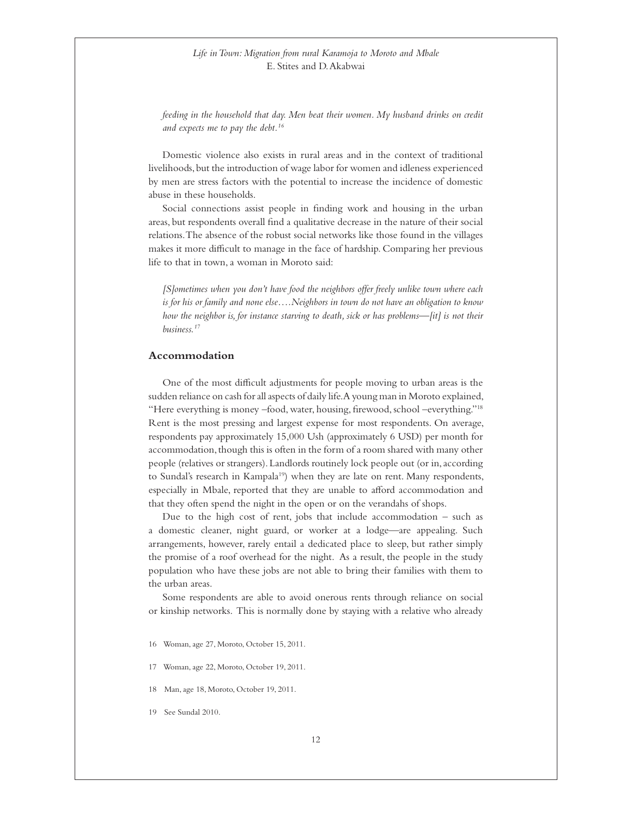<span id="page-11-0"></span>*feeding in the household that day. Men beat their women. My husband drinks on credit and expects me to pay the debt.16* 

Domestic violence also exists in rural areas and in the context of traditional livelihoods, but the introduction of wage labor for women and idleness experienced by men are stress factors with the potential to increase the incidence of domestic abuse in these households.

Social connections assist people in finding work and housing in the urban areas, but respondents overall find a qualitative decrease in the nature of their social relations. The absence of the robust social networks like those found in the villages makes it more difficult to manage in the face of hardship. Comparing her previous life to that in town, a woman in Moroto said:

 *[S]ometimes when you don't have food the neighbors offer freely unlike town where each is for his or family and none else….Neighbors in town do not have an obligation to know how the neighbor is, for instance starving to death, sick or has problems—[it] is not their business.17*

#### **Accommodation**

One of the most difficult adjustments for people moving to urban areas is the sudden reliance on cash for all aspects of daily life. A young man in Moroto explained, "Here everything is money –food, water, housing, firewood, school –everything."18 Rent is the most pressing and largest expense for most respondents. On average, respondents pay approximately 15,000 Ush (approximately 6 USD) per month for accommodation, though this is often in the form of a room shared with many other people (relatives or strangers). Landlords routinely lock people out (or in, according to Sundal's research in Kampala<sup>19</sup>) when they are late on rent. Many respondents, especially in Mbale, reported that they are unable to afford accommodation and that they often spend the night in the open or on the verandahs of shops.

Due to the high cost of rent, jobs that include accommodation  $-$  such as a domestic cleaner, night guard, or worker at a lodge—are appealing. Such arrangements, however, rarely entail a dedicated place to sleep, but rather simply the promise of a roof overhead for the night. As a result, the people in the study population who have these jobs are not able to bring their families with them to the urban areas.

Some respondents are able to avoid onerous rents through reliance on social or kinship networks. This is normally done by staying with a relative who already

- 17 Woman, age 22, Moroto, October 19, 2011.
- 18 Man, age 18, Moroto, October 19, 2011.
- 19 See Sundal 2010.

<sup>16</sup> Woman, age 27, Moroto, October 15, 2011.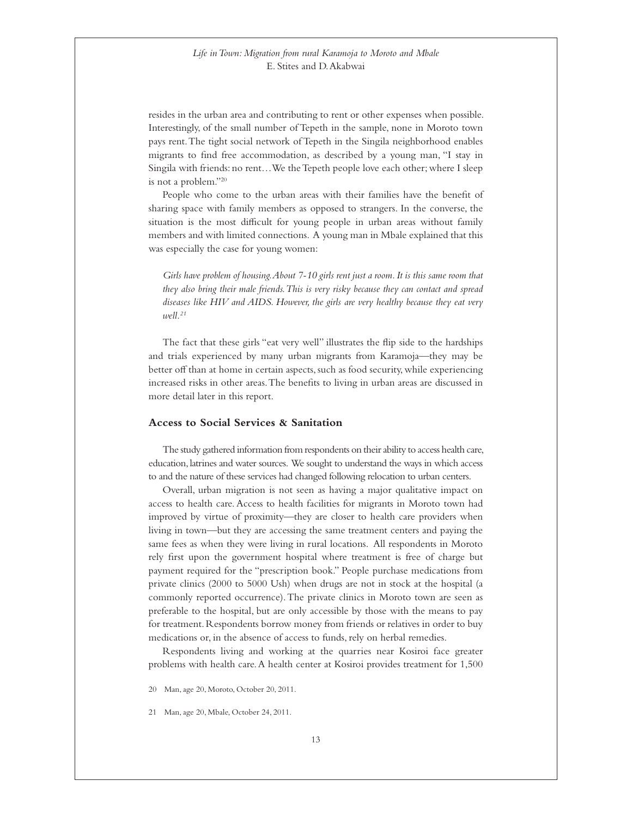<span id="page-12-0"></span>resides in the urban area and contributing to rent or other expenses when possible. Interestingly, of the small number of Tepeth in the sample, none in Moroto town pays rent. The tight social network of Tepeth in the Singila neighborhood enables migrants to find free accommodation, as described by a young man, "I stay in Singila with friends: no rent…We the Tepeth people love each other; where I sleep is not a problem."20

People who come to the urban areas with their families have the benefit of sharing space with family members as opposed to strangers. In the converse, the situation is the most difficult for young people in urban areas without family members and with limited connections. A young man in Mbale explained that this was especially the case for young women:

 *Girls have problem of housing. About 7-10 girls rent just a room. It is this same room that they also bring their male friends. This is very risky because they can contact and spread diseases like HIV and AIDS. However, the girls are very healthy because they eat very well.21*

The fact that these girls "eat very well" illustrates the flip side to the hardships and trials experienced by many urban migrants from Karamoja—they may be better off than at home in certain aspects, such as food security, while experiencing increased risks in other areas. The benefits to living in urban areas are discussed in more detail later in this report.

#### **Access to Social Services & Sanitation**

The study gathered information from respondents on their ability to access health care, education, latrines and water sources. We sought to understand the ways in which access to and the nature of these services had changed following relocation to urban centers.

Overall, urban migration is not seen as having a major qualitative impact on access to health care. Access to health facilities for migrants in Moroto town had improved by virtue of proximity—they are closer to health care providers when living in town—but they are accessing the same treatment centers and paying the same fees as when they were living in rural locations. All respondents in Moroto rely first upon the government hospital where treatment is free of charge but payment required for the "prescription book." People purchase medications from private clinics (2000 to 5000 Ush) when drugs are not in stock at the hospital (a commonly reported occurrence). The private clinics in Moroto town are seen as preferable to the hospital, but are only accessible by those with the means to pay for treatment. Respondents borrow money from friends or relatives in order to buy medications or, in the absence of access to funds, rely on herbal remedies.

Respondents living and working at the quarries near Kosiroi face greater problems with health care. A health center at Kosiroi provides treatment for 1,500

20 Man, age 20, Moroto, October 20, 2011.

21 Man, age 20, Mbale, October 24, 2011.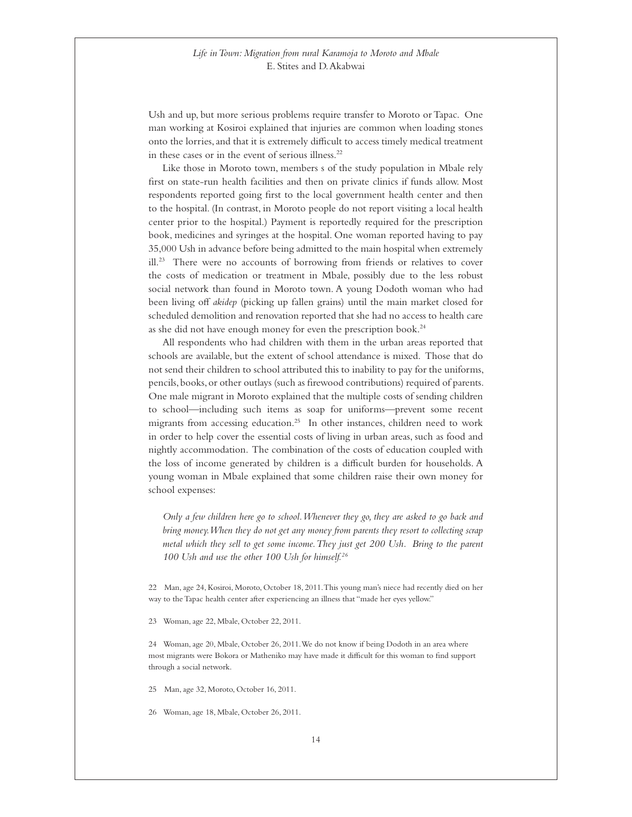Ush and up, but more serious problems require transfer to Moroto or Tapac. One man working at Kosiroi explained that injuries are common when loading stones onto the lorries, and that it is extremely difficult to access timely medical treatment in these cases or in the event of serious illness.22

Like those in Moroto town, members s of the study population in Mbale rely first on state-run health facilities and then on private clinics if funds allow. Most respondents reported going first to the local government health center and then to the hospital. (In contrast, in Moroto people do not report visiting a local health center prior to the hospital.) Payment is reportedly required for the prescription book, medicines and syringes at the hospital. One woman reported having to pay 35,000 Ush in advance before being admitted to the main hospital when extremely ill.<sup>23</sup> There were no accounts of borrowing from friends or relatives to cover the costs of medication or treatment in Mbale, possibly due to the less robust social network than found in Moroto town. A young Dodoth woman who had been living off *akidep* (picking up fallen grains) until the main market closed for scheduled demolition and renovation reported that she had no access to health care as she did not have enough money for even the prescription book.24

All respondents who had children with them in the urban areas reported that schools are available, but the extent of school attendance is mixed. Those that do not send their children to school attributed this to inability to pay for the uniforms, pencils, books, or other outlays (such as firewood contributions) required of parents. One male migrant in Moroto explained that the multiple costs of sending children to school—including such items as soap for uniforms—prevent some recent migrants from accessing education.25 In other instances, children need to work in order to help cover the essential costs of living in urban areas, such as food and nightly accommodation. The combination of the costs of education coupled with the loss of income generated by children is a difficult burden for households. A young woman in Mbale explained that some children raise their own money for school expenses:

 *Only a few children here go to school. Whenever they go, they are asked to go back and bring money. When they do not get any money from parents they resort to collecting scrap metal which they sell to get some income. They just get 200 Ush. Bring to the parent 100 Ush and use the other 100 Ush for himself.26*

22 Man, age 24, Kosiroi, Moroto, October 18, 2011. This young man's niece had recently died on her way to the Tapac health center after experiencing an illness that "made her eyes yellow."

23 Woman, age 22, Mbale, October 22, 2011.

24 Woman, age 20, Mbale, October 26, 2011. We do not know if being Dodoth in an area where most migrants were Bokora or Matheniko may have made it difficult for this woman to find support through a social network.

25 Man, age 32, Moroto, October 16, 2011.

26 Woman, age 18, Mbale, October 26, 2011.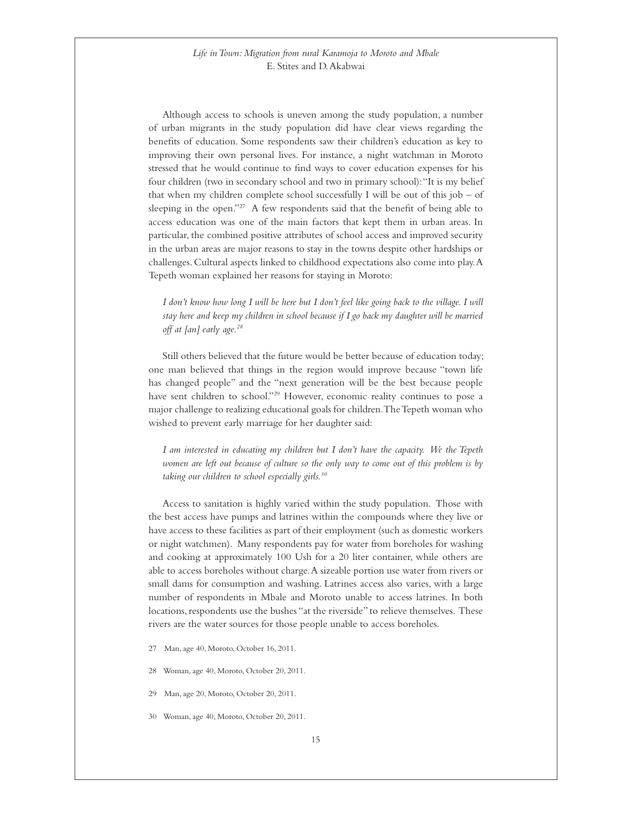Although access to schools is uneven among the study population, a number of urban migrants in the study population did have clear views regarding the benefits of education. Some respondents saw their children's education as key to improving their own personal lives. For instance, a night watchman in Moroto stressed that he would continue to find ways to cover education expenses for his four children (two in secondary school and two in primary school): "It is my belief that when my children complete school successfully I will be out of this job – of sleeping in the open."<sup>27</sup> A few respondents said that the benefit of being able to access education was one of the main factors that kept them in urban areas. In particular, the combined positive attributes of school access and improved security in the urban areas are major reasons to stay in the towns despite other hardships or challenges. Cultural aspects linked to childhood expectations also come into play. A Tepeth woman explained her reasons for staying in Moroto:

*I don't know how long I will be here but I don't feel like going back to the village. I will stay here and keep my children in school because if I go back my daughter will be married off at [an] early age.28*

Still others believed that the future would be better because of education today; one man believed that things in the region would improve because "town life has changed people" and the "next generation will be the best because people have sent children to school."29 However, economic reality continues to pose a major challenge to realizing educational goals for children. The Tepeth woman who wished to prevent early marriage for her daughter said:

 *I am interested in educating my children but I don't have the capacity. We the Tepeth women are left out because of culture so the only way to come out of this problem is by taking our children to school especially girls.30*

Access to sanitation is highly varied within the study population. Those with the best access have pumps and latrines within the compounds where they live or have access to these facilities as part of their employment (such as domestic workers or night watchmen). Many respondents pay for water from boreholes for washing and cooking at approximately 100 Ush for a 20 liter container, while others are able to access boreholes without charge. A sizeable portion use water from rivers or small dams for consumption and washing. Latrines access also varies, with a large number of respondents in Mbale and Moroto unable to access latrines. In both locations, respondents use the bushes "at the riverside" to relieve themselves. These rivers are the water sources for those people unable to access boreholes.

- 27 Man, age 40, Moroto, October 16, 2011.
- 28 Woman, age 40, Moroto, October 20, 2011.
- 29 Man, age 20, Moroto, October 20, 2011.
- 30 Woman, age 40, Moroto, October 20, 2011.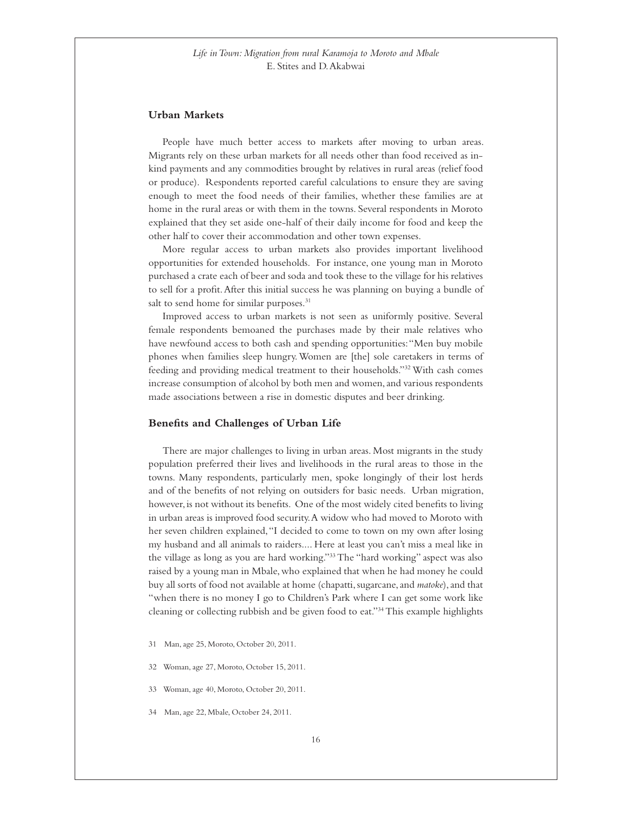#### <span id="page-15-0"></span>**Urban Markets**

People have much better access to markets after moving to urban areas. Migrants rely on these urban markets for all needs other than food received as inkind payments and any commodities brought by relatives in rural areas (relief food or produce). Respondents reported careful calculations to ensure they are saving enough to meet the food needs of their families, whether these families are at home in the rural areas or with them in the towns. Several respondents in Moroto explained that they set aside one-half of their daily income for food and keep the other half to cover their accommodation and other town expenses.

More regular access to urban markets also provides important livelihood opportunities for extended households. For instance, one young man in Moroto purchased a crate each of beer and soda and took these to the village for his relatives to sell for a profit. After this initial success he was planning on buying a bundle of salt to send home for similar purposes.<sup>31</sup>

Improved access to urban markets is not seen as uniformly positive. Several female respondents bemoaned the purchases made by their male relatives who have newfound access to both cash and spending opportunities: "Men buy mobile phones when families sleep hungry. Women are [the] sole caretakers in terms of feeding and providing medical treatment to their households."32 With cash comes increase consumption of alcohol by both men and women, and various respondents made associations between a rise in domestic disputes and beer drinking.

#### **Benefits and Challenges of Urban Life**

There are major challenges to living in urban areas. Most migrants in the study population preferred their lives and livelihoods in the rural areas to those in the towns. Many respondents, particularly men, spoke longingly of their lost herds and of the benefits of not relying on outsiders for basic needs. Urban migration, however, is not without its benefits. One of the most widely cited benefits to living in urban areas is improved food security. A widow who had moved to Moroto with her seven children explained, "I decided to come to town on my own after losing my husband and all animals to raiders.... Here at least you can't miss a meal like in the village as long as you are hard working."33 The "hard working" aspect was also raised by a young man in Mbale, who explained that when he had money he could buy all sorts of food not available at home (chapatti, sugarcane, and *matoke*), and that "when there is no money I go to Children's Park where I can get some work like cleaning or collecting rubbish and be given food to eat."34 This example highlights

- 31 Man, age 25, Moroto, October 20, 2011.
- 32 Woman, age 27, Moroto, October 15, 2011.
- 33 Woman, age 40, Moroto, October 20, 2011.
- 34 Man, age 22, Mbale, October 24, 2011.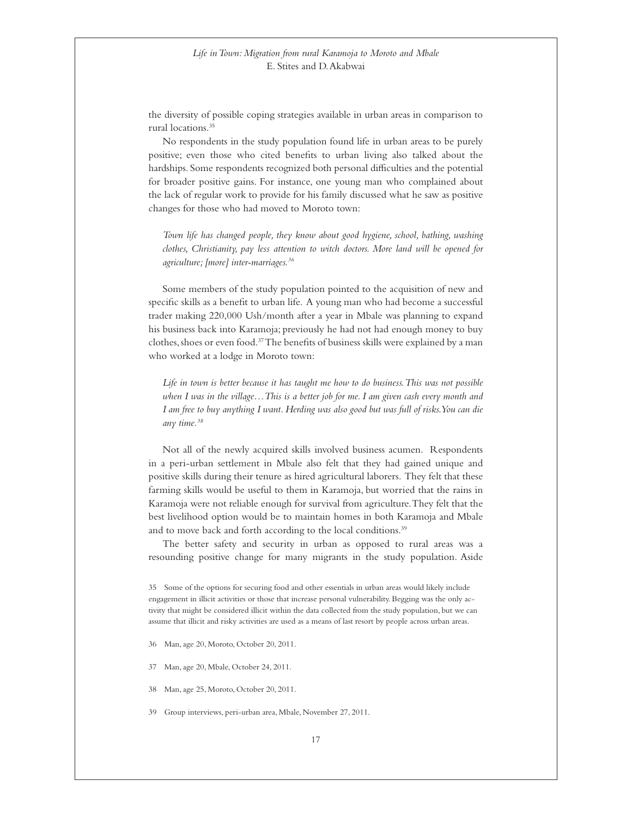the diversity of possible coping strategies available in urban areas in comparison to rural locations.35

No respondents in the study population found life in urban areas to be purely positive; even those who cited benefits to urban living also talked about the hardships. Some respondents recognized both personal difficulties and the potential for broader positive gains. For instance, one young man who complained about the lack of regular work to provide for his family discussed what he saw as positive changes for those who had moved to Moroto town:

 *Town life has changed people, they know about good hygiene, school, bathing, washing clothes, Christianity, pay less attention to witch doctors. More land will be opened for agriculture; [more] inter-marriages.36*

Some members of the study population pointed to the acquisition of new and specific skills as a benefit to urban life. A young man who had become a successful trader making 220,000 Ush/month after a year in Mbale was planning to expand his business back into Karamoja; previously he had not had enough money to buy clothes, shoes or even food.37 The benefits of business skills were explained by a man who worked at a lodge in Moroto town:

 *Life in town is better because it has taught me how to do business. This was not possible when I was in the village…This is a better job for me. I am given cash every month and I am free to buy anything I want. Herding was also good but was full of risks. You can die any time.38*

Not all of the newly acquired skills involved business acumen. Respondents in a peri-urban settlement in Mbale also felt that they had gained unique and positive skills during their tenure as hired agricultural laborers. They felt that these farming skills would be useful to them in Karamoja, but worried that the rains in Karamoja were not reliable enough for survival from agriculture. They felt that the best livelihood option would be to maintain homes in both Karamoja and Mbale and to move back and forth according to the local conditions.<sup>39</sup>

The better safety and security in urban as opposed to rural areas was a resounding positive change for many migrants in the study population. Aside

35 Some of the options for securing food and other essentials in urban areas would likely include engagement in illicit activities or those that increase personal vulnerability. Begging was the only activity that might be considered illicit within the data collected from the study population, but we can assume that illicit and risky activities are used as a means of last resort by people across urban areas.

- 36 Man, age 20, Moroto, October 20, 2011.
- 37 Man, age 20, Mbale, October 24, 2011.
- 38 Man, age 25, Moroto, October 20, 2011.

39 Group interviews, peri-urban area, Mbale, November 27, 2011.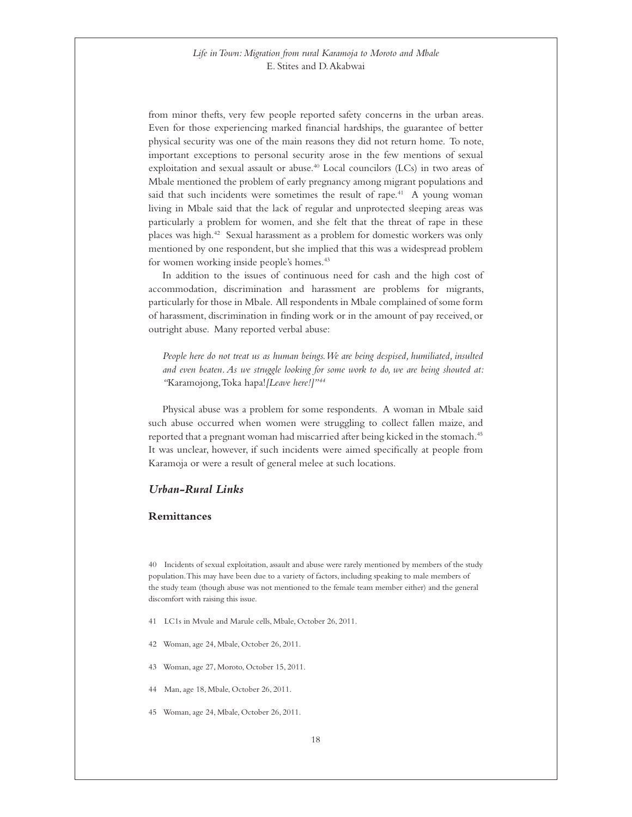<span id="page-17-0"></span>from minor thefts, very few people reported safety concerns in the urban areas. Even for those experiencing marked financial hardships, the guarantee of better physical security was one of the main reasons they did not return home. To note, important exceptions to personal security arose in the few mentions of sexual exploitation and sexual assault or abuse.<sup>40</sup> Local councilors (LCs) in two areas of Mbale mentioned the problem of early pregnancy among migrant populations and said that such incidents were sometimes the result of rape.<sup>41</sup> A young woman living in Mbale said that the lack of regular and unprotected sleeping areas was particularly a problem for women, and she felt that the threat of rape in these places was high.42 Sexual harassment as a problem for domestic workers was only mentioned by one respondent, but she implied that this was a widespread problem for women working inside people's homes.<sup>43</sup>

In addition to the issues of continuous need for cash and the high cost of accommodation, discrimination and harassment are problems for migrants, particularly for those in Mbale. All respondents in Mbale complained of some form of harassment, discrimination in finding work or in the amount of pay received, or outright abuse. Many reported verbal abuse:

People here do not treat us as human beings. We are being despised, humiliated, insulted *and even beaten. As we struggle looking for some work to do, we are being shouted at: "*Karamojong, Toka hapa!*[Leave here!]"44*

Physical abuse was a problem for some respondents. A woman in Mbale said such abuse occurred when women were struggling to collect fallen maize, and reported that a pregnant woman had miscarried after being kicked in the stomach.<sup>45</sup> It was unclear, however, if such incidents were aimed specifically at people from Karamoja or were a result of general melee at such locations.

#### *Urban-Rural Links*

#### **Remittances**

40 Incidents of sexual exploitation, assault and abuse were rarely mentioned by members of the study population. This may have been due to a variety of factors, including speaking to male members of the study team (though abuse was not mentioned to the female team member either) and the general discomfort with raising this issue.

- 41 LC1s in Mvule and Marule cells, Mbale, October 26, 2011.
- 42 Woman, age 24, Mbale, October 26, 2011.
- 43 Woman, age 27, Moroto, October 15, 2011.
- 44 Man, age 18, Mbale, October 26, 2011.
- 45 Woman, age 24, Mbale, October 26, 2011.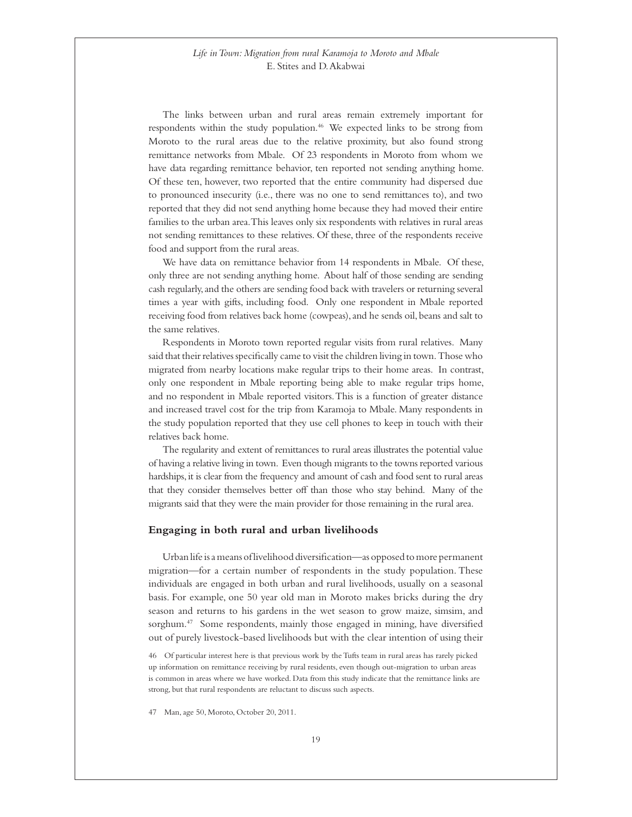<span id="page-18-0"></span>The links between urban and rural areas remain extremely important for respondents within the study population.<sup>46</sup> We expected links to be strong from Moroto to the rural areas due to the relative proximity, but also found strong remittance networks from Mbale. Of 23 respondents in Moroto from whom we have data regarding remittance behavior, ten reported not sending anything home. Of these ten, however, two reported that the entire community had dispersed due to pronounced insecurity (i.e., there was no one to send remittances to), and two reported that they did not send anything home because they had moved their entire families to the urban area. This leaves only six respondents with relatives in rural areas not sending remittances to these relatives. Of these, three of the respondents receive food and support from the rural areas.

We have data on remittance behavior from 14 respondents in Mbale. Of these, only three are not sending anything home. About half of those sending are sending cash regularly, and the others are sending food back with travelers or returning several times a year with gifts, including food. Only one respondent in Mbale reported receiving food from relatives back home (cowpeas), and he sends oil, beans and salt to the same relatives.

Respondents in Moroto town reported regular visits from rural relatives. Many said that their relatives specifically came to visit the children living in town. Those who migrated from nearby locations make regular trips to their home areas. In contrast, only one respondent in Mbale reporting being able to make regular trips home, and no respondent in Mbale reported visitors. This is a function of greater distance and increased travel cost for the trip from Karamoja to Mbale. Many respondents in the study population reported that they use cell phones to keep in touch with their relatives back home.

The regularity and extent of remittances to rural areas illustrates the potential value of having a relative living in town. Even though migrants to the towns reported various hardships, it is clear from the frequency and amount of cash and food sent to rural areas that they consider themselves better off than those who stay behind. Many of the migrants said that they were the main provider for those remaining in the rural area.

#### **Engaging in both rural and urban livelihoods**

Urban life is a means of livelihood diversification—as opposed to more permanent migration—for a certain number of respondents in the study population. These individuals are engaged in both urban and rural livelihoods, usually on a seasonal basis. For example, one 50 year old man in Moroto makes bricks during the dry season and returns to his gardens in the wet season to grow maize, simsim, and sorghum.47 Some respondents, mainly those engaged in mining, have diversified out of purely livestock-based livelihoods but with the clear intention of using their

47 Man, age 50, Moroto, October 20, 2011.

<sup>46</sup> Of particular interest here is that previous work by the Tufts team in rural areas has rarely picked up information on remittance receiving by rural residents, even though out-migration to urban areas is common in areas where we have worked. Data from this study indicate that the remittance links are strong, but that rural respondents are reluctant to discuss such aspects.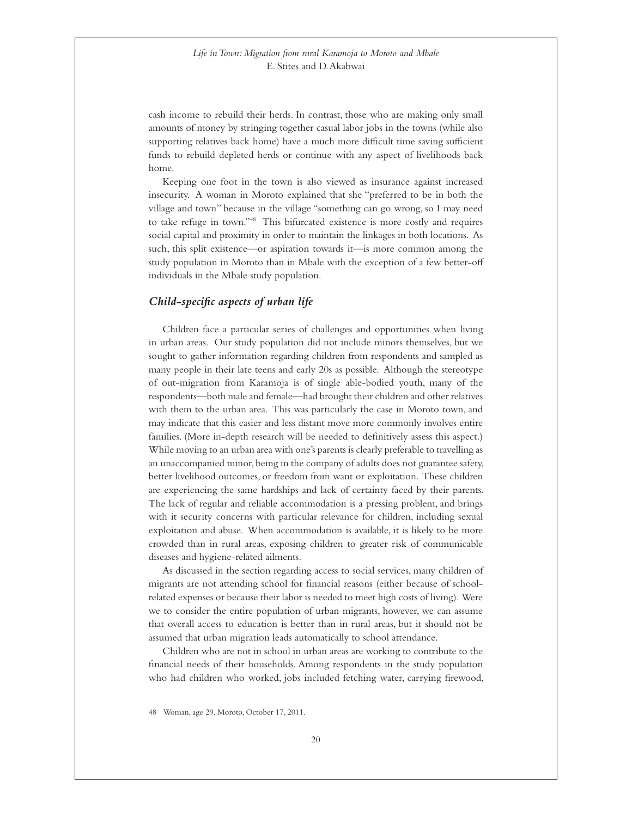<span id="page-19-0"></span>cash income to rebuild their herds. In contrast, those who are making only small amounts of money by stringing together casual labor jobs in the towns (while also supporting relatives back home) have a much more difficult time saving sufficient funds to rebuild depleted herds or continue with any aspect of livelihoods back home.

Keeping one foot in the town is also viewed as insurance against increased insecurity. A woman in Moroto explained that she "preferred to be in both the village and town" because in the village "something can go wrong, so I may need to take refuge in town."48 This bifurcated existence is more costly and requires social capital and proximity in order to maintain the linkages in both locations. As such, this split existence—or aspiration towards it—is more common among the study population in Moroto than in Mbale with the exception of a few better-off individuals in the Mbale study population.

#### *Child-specific aspects of urban life*

Children face a particular series of challenges and opportunities when living in urban areas. Our study population did not include minors themselves, but we sought to gather information regarding children from respondents and sampled as many people in their late teens and early 20s as possible. Although the stereotype of out-migration from Karamoja is of single able-bodied youth, many of the respondents—both male and female—had brought their children and other relatives with them to the urban area. This was particularly the case in Moroto town, and may indicate that this easier and less distant move more commonly involves entire families. (More in-depth research will be needed to definitively assess this aspect.) While moving to an urban area with one's parents is clearly preferable to travelling as an unaccompanied minor, being in the company of adults does not guarantee safety, better livelihood outcomes, or freedom from want or exploitation. These children are experiencing the same hardships and lack of certainty faced by their parents. The lack of regular and reliable accommodation is a pressing problem, and brings with it security concerns with particular relevance for children, including sexual exploitation and abuse. When accommodation is available, it is likely to be more crowded than in rural areas, exposing children to greater risk of communicable diseases and hygiene-related ailments.

As discussed in the section regarding access to social services, many children of migrants are not attending school for financial reasons (either because of schoolrelated expenses or because their labor is needed to meet high costs of living). Were we to consider the entire population of urban migrants, however, we can assume that overall access to education is better than in rural areas, but it should not be assumed that urban migration leads automatically to school attendance.

Children who are not in school in urban areas are working to contribute to the financial needs of their households. Among respondents in the study population who had children who worked, jobs included fetching water, carrying firewood,

48 Woman, age 29, Moroto, October 17, 2011.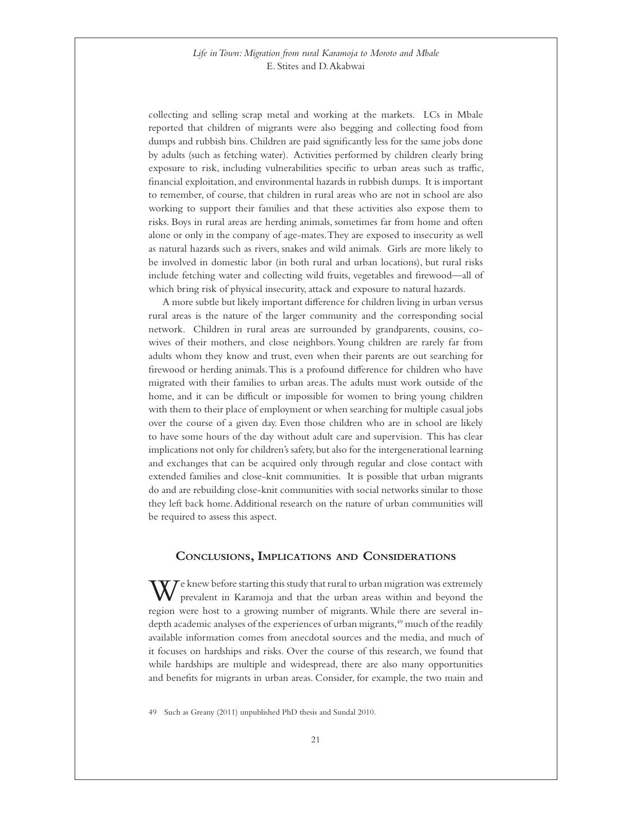<span id="page-20-0"></span>collecting and selling scrap metal and working at the markets. LCs in Mbale reported that children of migrants were also begging and collecting food from dumps and rubbish bins. Children are paid significantly less for the same jobs done by adults (such as fetching water). Activities performed by children clearly bring exposure to risk, including vulnerabilities specific to urban areas such as traffic, financial exploitation, and environmental hazards in rubbish dumps. It is important to remember, of course, that children in rural areas who are not in school are also working to support their families and that these activities also expose them to risks. Boys in rural areas are herding animals, sometimes far from home and often alone or only in the company of age-mates. They are exposed to insecurity as well as natural hazards such as rivers, snakes and wild animals. Girls are more likely to be involved in domestic labor (in both rural and urban locations), but rural risks include fetching water and collecting wild fruits, vegetables and firewood—all of which bring risk of physical insecurity, attack and exposure to natural hazards.

A more subtle but likely important difference for children living in urban versus rural areas is the nature of the larger community and the corresponding social network. Children in rural areas are surrounded by grandparents, cousins, cowives of their mothers, and close neighbors. Young children are rarely far from adults whom they know and trust, even when their parents are out searching for firewood or herding animals. This is a profound difference for children who have migrated with their families to urban areas. The adults must work outside of the home, and it can be difficult or impossible for women to bring young children with them to their place of employment or when searching for multiple casual jobs over the course of a given day. Even those children who are in school are likely to have some hours of the day without adult care and supervision. This has clear implications not only for children's safety, but also for the intergenerational learning and exchanges that can be acquired only through regular and close contact with extended families and close-knit communities. It is possible that urban migrants do and are rebuilding close-knit communities with social networks similar to those they left back home. Additional research on the nature of urban communities will be required to assess this aspect.

# **Conclusions, Implications and Considerations**

 $\bf W$  e knew before starting this study that rural to urban migration was extremely prevalent in Karamoja and that the urban areas within and beyond the region were host to a growing number of migrants. While there are several indepth academic analyses of the experiences of urban migrants,<sup>49</sup> much of the readily available information comes from anecdotal sources and the media, and much of it focuses on hardships and risks. Over the course of this research, we found that while hardships are multiple and widespread, there are also many opportunities and benefits for migrants in urban areas. Consider, for example, the two main and

49 Such as Greany (2011) unpublished PhD thesis and Sundal 2010.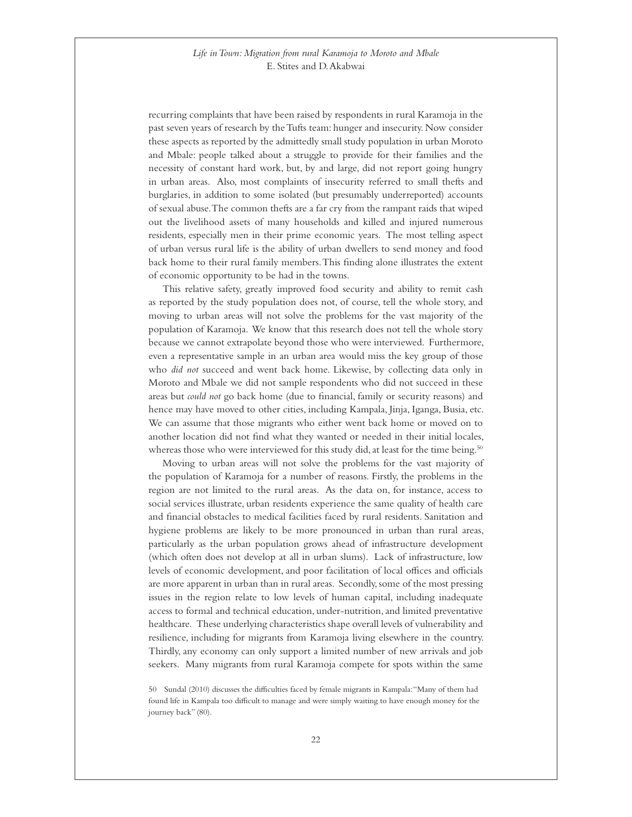recurring complaints that have been raised by respondents in rural Karamoja in the past seven years of research by the Tufts team: hunger and insecurity. Now consider these aspects as reported by the admittedly small study population in urban Moroto and Mbale: people talked about a struggle to provide for their families and the necessity of constant hard work, but, by and large, did not report going hungry in urban areas. Also, most complaints of insecurity referred to small thefts and burglaries, in addition to some isolated (but presumably underreported) accounts of sexual abuse. The common thefts are a far cry from the rampant raids that wiped out the livelihood assets of many households and killed and injured numerous residents, especially men in their prime economic years. The most telling aspect of urban versus rural life is the ability of urban dwellers to send money and food back home to their rural family members. This finding alone illustrates the extent of economic opportunity to be had in the towns.

This relative safety, greatly improved food security and ability to remit cash as reported by the study population does not, of course, tell the whole story, and moving to urban areas will not solve the problems for the vast majority of the population of Karamoja. We know that this research does not tell the whole story because we cannot extrapolate beyond those who were interviewed. Furthermore, even a representative sample in an urban area would miss the key group of those who *did not* succeed and went back home. Likewise, by collecting data only in Moroto and Mbale we did not sample respondents who did not succeed in these areas but *could not* go back home (due to financial, family or security reasons) and hence may have moved to other cities, including Kampala, Jinja, Iganga, Busia, etc. We can assume that those migrants who either went back home or moved on to another location did not find what they wanted or needed in their initial locales, whereas those who were interviewed for this study did, at least for the time being.<sup>50</sup>

Moving to urban areas will not solve the problems for the vast majority of the population of Karamoja for a number of reasons. Firstly, the problems in the region are not limited to the rural areas. As the data on, for instance, access to social services illustrate, urban residents experience the same quality of health care and financial obstacles to medical facilities faced by rural residents. Sanitation and hygiene problems are likely to be more pronounced in urban than rural areas, particularly as the urban population grows ahead of infrastructure development (which often does not develop at all in urban slums). Lack of infrastructure, low levels of economic development, and poor facilitation of local offices and officials are more apparent in urban than in rural areas. Secondly, some of the most pressing issues in the region relate to low levels of human capital, including inadequate access to formal and technical education, under-nutrition, and limited preventative healthcare. These underlying characteristics shape overall levels of vulnerability and resilience, including for migrants from Karamoja living elsewhere in the country. Thirdly, any economy can only support a limited number of new arrivals and job seekers. Many migrants from rural Karamoja compete for spots within the same

50 Sundal (2010) discusses the difficulties faced by female migrants in Kampala: "Many of them had found life in Kampala too difficult to manage and were simply waiting to have enough money for the journey back" (80).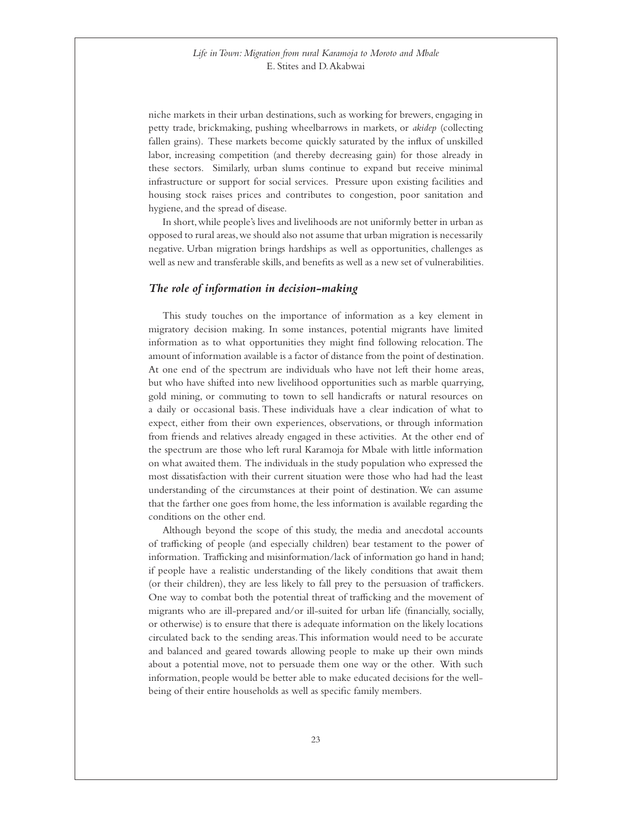<span id="page-22-0"></span>niche markets in their urban destinations, such as working for brewers, engaging in petty trade, brickmaking, pushing wheelbarrows in markets, or *akidep* (collecting fallen grains). These markets become quickly saturated by the influx of unskilled labor, increasing competition (and thereby decreasing gain) for those already in these sectors. Similarly, urban slums continue to expand but receive minimal infrastructure or support for social services. Pressure upon existing facilities and housing stock raises prices and contributes to congestion, poor sanitation and hygiene, and the spread of disease.

In short, while people's lives and livelihoods are not uniformly better in urban as opposed to rural areas, we should also not assume that urban migration is necessarily negative. Urban migration brings hardships as well as opportunities, challenges as well as new and transferable skills, and benefits as well as a new set of vulnerabilities.

#### *The role of information in decision-making*

This study touches on the importance of information as a key element in migratory decision making. In some instances, potential migrants have limited information as to what opportunities they might find following relocation. The amount of information available is a factor of distance from the point of destination. At one end of the spectrum are individuals who have not left their home areas, but who have shifted into new livelihood opportunities such as marble quarrying, gold mining, or commuting to town to sell handicrafts or natural resources on a daily or occasional basis. These individuals have a clear indication of what to expect, either from their own experiences, observations, or through information from friends and relatives already engaged in these activities. At the other end of the spectrum are those who left rural Karamoja for Mbale with little information on what awaited them. The individuals in the study population who expressed the most dissatisfaction with their current situation were those who had had the least understanding of the circumstances at their point of destination. We can assume that the farther one goes from home, the less information is available regarding the conditions on the other end.

Although beyond the scope of this study, the media and anecdotal accounts of trafficking of people (and especially children) bear testament to the power of information. Trafficking and misinformation/lack of information go hand in hand; if people have a realistic understanding of the likely conditions that await them (or their children), they are less likely to fall prey to the persuasion of traffickers. One way to combat both the potential threat of trafficking and the movement of migrants who are ill-prepared and/or ill-suited for urban life (financially, socially, or otherwise) is to ensure that there is adequate information on the likely locations circulated back to the sending areas. This information would need to be accurate and balanced and geared towards allowing people to make up their own minds about a potential move, not to persuade them one way or the other. With such information, people would be better able to make educated decisions for the wellbeing of their entire households as well as specific family members.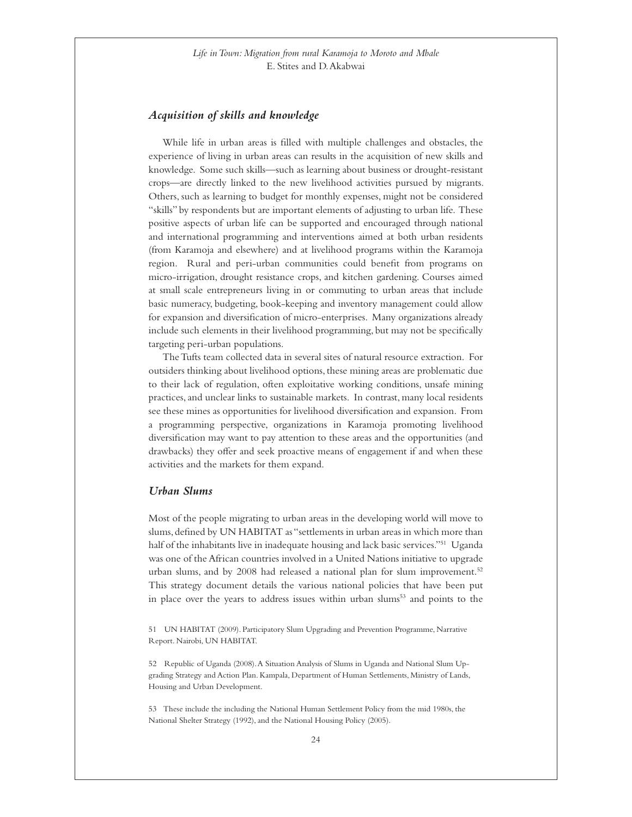#### <span id="page-23-0"></span>*Acquisition of skills and knowledge*

While life in urban areas is filled with multiple challenges and obstacles, the experience of living in urban areas can results in the acquisition of new skills and knowledge. Some such skills—such as learning about business or drought-resistant crops—are directly linked to the new livelihood activities pursued by migrants. Others, such as learning to budget for monthly expenses, might not be considered "skills" by respondents but are important elements of adjusting to urban life. These positive aspects of urban life can be supported and encouraged through national and international programming and interventions aimed at both urban residents (from Karamoja and elsewhere) and at livelihood programs within the Karamoja region. Rural and peri-urban communities could benefit from programs on micro-irrigation, drought resistance crops, and kitchen gardening. Courses aimed at small scale entrepreneurs living in or commuting to urban areas that include basic numeracy, budgeting, book-keeping and inventory management could allow for expansion and diversification of micro-enterprises. Many organizations already include such elements in their livelihood programming, but may not be specifically targeting peri-urban populations.

The Tufts team collected data in several sites of natural resource extraction. For outsiders thinking about livelihood options, these mining areas are problematic due to their lack of regulation, often exploitative working conditions, unsafe mining practices, and unclear links to sustainable markets. In contrast, many local residents see these mines as opportunities for livelihood diversification and expansion. From a programming perspective, organizations in Karamoja promoting livelihood diversification may want to pay attention to these areas and the opportunities (and drawbacks) they offer and seek proactive means of engagement if and when these activities and the markets for them expand.

#### *Urban Slums*

Most of the people migrating to urban areas in the developing world will move to slums, defined by UN HABITAT as "settlements in urban areas in which more than half of the inhabitants live in inadequate housing and lack basic services."51 Uganda was one of the African countries involved in a United Nations initiative to upgrade urban slums, and by 2008 had released a national plan for slum improvement.<sup>52</sup> This strategy document details the various national policies that have been put in place over the years to address issues within urban slums<sup>53</sup> and points to the

51 UN HABITAT (2009). Participatory Slum Upgrading and Prevention Programme, Narrative Report. Nairobi, UN HABITAT.

52 Republic of Uganda (2008). A Situation Analysis of Slums in Uganda and National Slum Upgrading Strategy and Action Plan. Kampala, Department of Human Settlements, Ministry of Lands, Housing and Urban Development.

53 These include the including the National Human Settlement Policy from the mid 1980s, the National Shelter Strategy (1992), and the National Housing Policy (2005).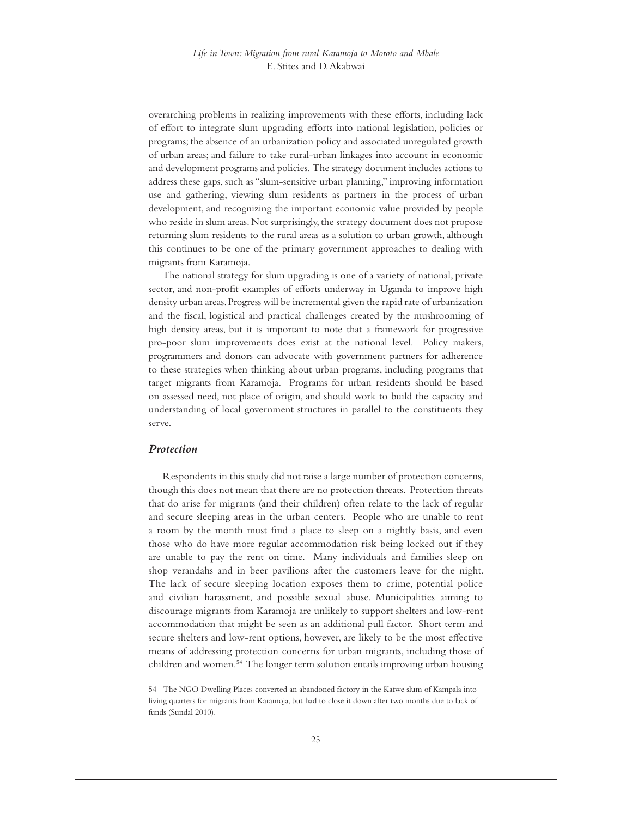<span id="page-24-0"></span>overarching problems in realizing improvements with these efforts, including lack of effort to integrate slum upgrading efforts into national legislation, policies or programs; the absence of an urbanization policy and associated unregulated growth of urban areas; and failure to take rural-urban linkages into account in economic and development programs and policies. The strategy document includes actions to address these gaps, such as "slum-sensitive urban planning," improving information use and gathering, viewing slum residents as partners in the process of urban development, and recognizing the important economic value provided by people who reside in slum areas. Not surprisingly, the strategy document does not propose returning slum residents to the rural areas as a solution to urban growth, although this continues to be one of the primary government approaches to dealing with migrants from Karamoja.

The national strategy for slum upgrading is one of a variety of national, private sector, and non-profit examples of efforts underway in Uganda to improve high density urban areas. Progress will be incremental given the rapid rate of urbanization and the fiscal, logistical and practical challenges created by the mushrooming of high density areas, but it is important to note that a framework for progressive pro-poor slum improvements does exist at the national level. Policy makers, programmers and donors can advocate with government partners for adherence to these strategies when thinking about urban programs, including programs that target migrants from Karamoja. Programs for urban residents should be based on assessed need, not place of origin, and should work to build the capacity and understanding of local government structures in parallel to the constituents they serve.

#### *Protection*

Respondents in this study did not raise a large number of protection concerns, though this does not mean that there are no protection threats. Protection threats that do arise for migrants (and their children) often relate to the lack of regular and secure sleeping areas in the urban centers. People who are unable to rent a room by the month must find a place to sleep on a nightly basis, and even those who do have more regular accommodation risk being locked out if they are unable to pay the rent on time. Many individuals and families sleep on shop verandahs and in beer pavilions after the customers leave for the night. The lack of secure sleeping location exposes them to crime, potential police and civilian harassment, and possible sexual abuse. Municipalities aiming to discourage migrants from Karamoja are unlikely to support shelters and low-rent accommodation that might be seen as an additional pull factor. Short term and secure shelters and low-rent options, however, are likely to be the most effective means of addressing protection concerns for urban migrants, including those of children and women.54 The longer term solution entails improving urban housing

54 The NGO Dwelling Places converted an abandoned factory in the Katwe slum of Kampala into living quarters for migrants from Karamoja, but had to close it down after two months due to lack of funds (Sundal 2010).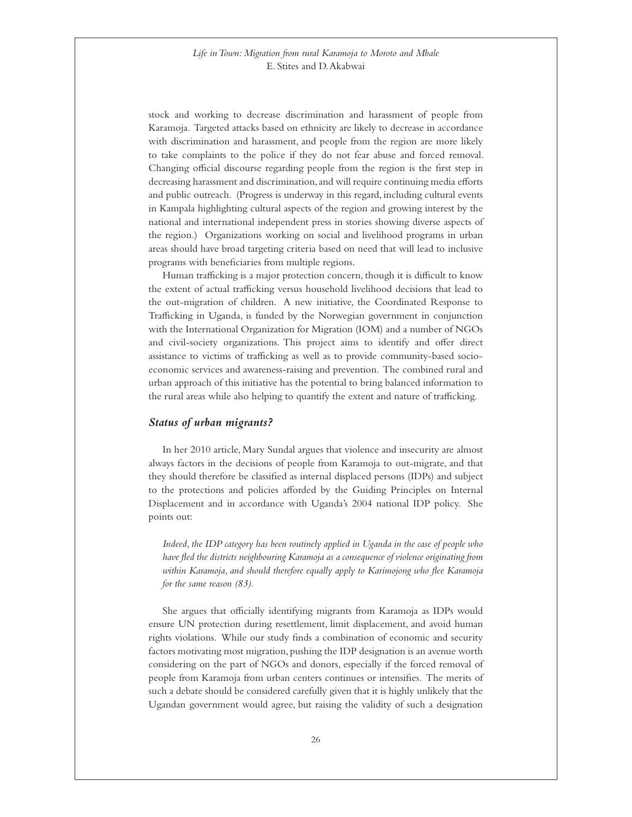<span id="page-25-0"></span>stock and working to decrease discrimination and harassment of people from Karamoja. Targeted attacks based on ethnicity are likely to decrease in accordance with discrimination and harassment, and people from the region are more likely to take complaints to the police if they do not fear abuse and forced removal. Changing official discourse regarding people from the region is the first step in decreasing harassment and discrimination, and will require continuing media efforts and public outreach. (Progress is underway in this regard, including cultural events in Kampala highlighting cultural aspects of the region and growing interest by the national and international independent press in stories showing diverse aspects of the region.) Organizations working on social and livelihood programs in urban areas should have broad targeting criteria based on need that will lead to inclusive programs with beneficiaries from multiple regions.

Human trafficking is a major protection concern, though it is difficult to know the extent of actual trafficking versus household livelihood decisions that lead to the out-migration of children. A new initiative, the Coordinated Response to Trafficking in Uganda, is funded by the Norwegian government in conjunction with the International Organization for Migration (IOM) and a number of NGOs and civil-society organizations. This project aims to identify and offer direct assistance to victims of trafficking as well as to provide community-based socioeconomic services and awareness-raising and prevention. The combined rural and urban approach of this initiative has the potential to bring balanced information to the rural areas while also helping to quantify the extent and nature of trafficking.

#### *Status of urban migrants?*

In her 2010 article, Mary Sundal argues that violence and insecurity are almost always factors in the decisions of people from Karamoja to out-migrate, and that they should therefore be classified as internal displaced persons (IDPs) and subject to the protections and policies afforded by the Guiding Principles on Internal Displacement and in accordance with Uganda's 2004 national IDP policy. She points out:

 *Indeed, the IDP category has been routinely applied in Uganda in the case of people who have fled the districts neighbouring Karamoja as a consequence of violence originating from within Karamoja, and should therefore equally apply to Karimojong who flee Karamoja for the same reason (83).* 

She argues that officially identifying migrants from Karamoja as IDPs would ensure UN protection during resettlement, limit displacement, and avoid human rights violations. While our study finds a combination of economic and security factors motivating most migration, pushing the IDP designation is an avenue worth considering on the part of NGOs and donors, especially if the forced removal of people from Karamoja from urban centers continues or intensifies. The merits of such a debate should be considered carefully given that it is highly unlikely that the Ugandan government would agree, but raising the validity of such a designation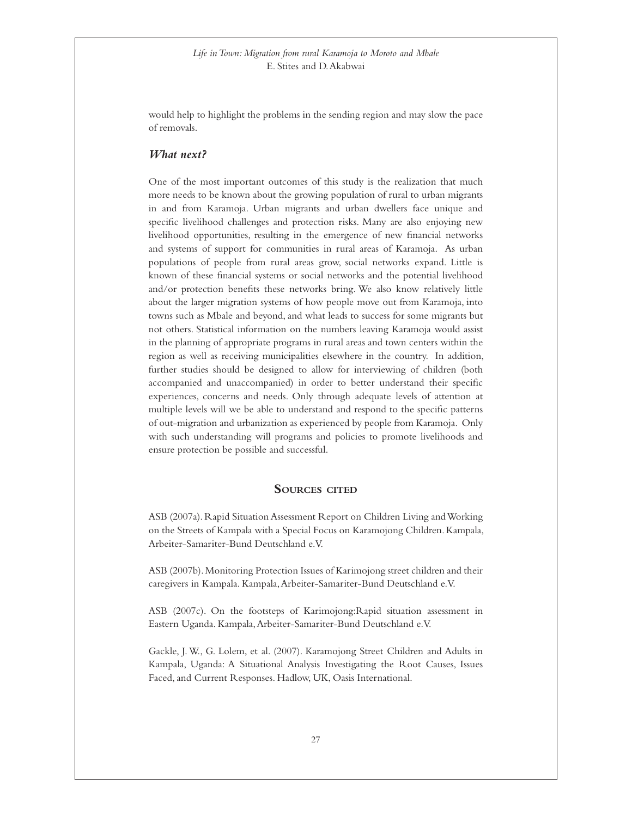<span id="page-26-0"></span>would help to highlight the problems in the sending region and may slow the pace of removals.

# *What next?*

One of the most important outcomes of this study is the realization that much more needs to be known about the growing population of rural to urban migrants in and from Karamoja. Urban migrants and urban dwellers face unique and specific livelihood challenges and protection risks. Many are also enjoying new livelihood opportunities, resulting in the emergence of new financial networks and systems of support for communities in rural areas of Karamoja. As urban populations of people from rural areas grow, social networks expand. Little is known of these financial systems or social networks and the potential livelihood and/or protection benefits these networks bring. We also know relatively little about the larger migration systems of how people move out from Karamoja, into towns such as Mbale and beyond, and what leads to success for some migrants but not others. Statistical information on the numbers leaving Karamoja would assist in the planning of appropriate programs in rural areas and town centers within the region as well as receiving municipalities elsewhere in the country. In addition, further studies should be designed to allow for interviewing of children (both accompanied and unaccompanied) in order to better understand their specific experiences, concerns and needs. Only through adequate levels of attention at multiple levels will we be able to understand and respond to the specific patterns of out-migration and urbanization as experienced by people from Karamoja. Only with such understanding will programs and policies to promote livelihoods and ensure protection be possible and successful.

#### **Sources cited**

ASB (2007a). Rapid Situation Assessment Report on Children Living and Working on the Streets of Kampala with a Special Focus on Karamojong Children. Kampala, Arbeiter-Samariter-Bund Deutschland e.V.

ASB (2007b). Monitoring Protection Issues of Karimojong street children and their caregivers in Kampala. Kampala, Arbeiter-Samariter-Bund Deutschland e.V.

ASB (2007c). On the footsteps of Karimojong:Rapid situation assessment in Eastern Uganda. Kampala, Arbeiter-Samariter-Bund Deutschland e.V.

Gackle, J. W., G. Lolem, et al. (2007). Karamojong Street Children and Adults in Kampala, Uganda: A Situational Analysis Investigating the Root Causes, Issues Faced, and Current Responses. Hadlow, UK, Oasis International.